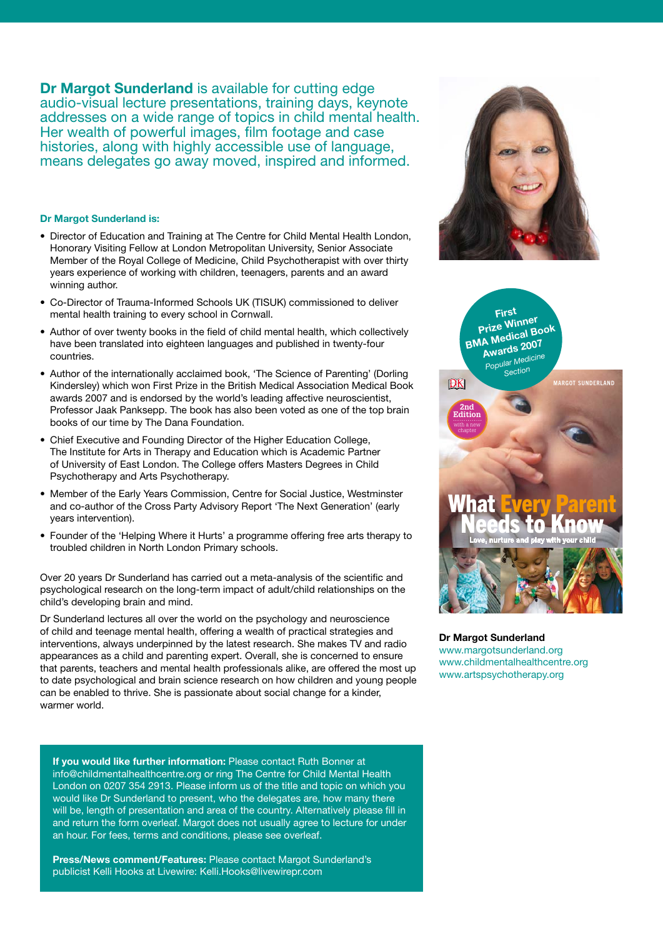**Dr Margot Sunderland** is available for cutting edge audio-visual lecture presentations, training days, keynote addresses on a wide range of topics in child mental health. Her wealth of powerful images, film footage and case histories, along with highly accessible use of language, means delegates go away moved, inspired and informed.

### **Dr Margot Sunderland is:**

- Director of Education and Training at The Centre for Child Mental Health London, Honorary Visiting Fellow at London Metropolitan University, Senior Associate Member of the Royal College of Medicine, Child Psychotherapist with over thirty years experience of working with children, teenagers, parents and an award winning author.
- Co-Director of Trauma-Informed Schools UK (TISUK) commissioned to deliver mental health training to every school in Cornwall.
- Author of over twenty books in the field of child mental health, which collectively have been translated into eighteen languages and published in twenty-four countries.
- Author of the internationally acclaimed book, 'The Science of Parenting' (Dorling Kindersley) which won First Prize in the British Medical Association Medical Book awards 2007 and is endorsed by the world's leading affective neuroscientist, Professor Jaak Panksepp. The book has also been voted as one of the top brain books of our time by The Dana Foundation.
- Chief Executive and Founding Director of the Higher Education College, The Institute for Arts in Therapy and Education which is Academic Partner of University of East London. The College offers Masters Degrees in Child Psychotherapy and Arts Psychotherapy. and ensure a good night  $\alpha$  sleep for  $y$
- Member of the Early Years Commission, Centre for Social Justice, Westminster and co-author of the Cross Party Advisory Report 'The Next Generation' (early years intervention).
- Founder of the 'Helping Where it Hurts' a programme offering free arts therapy to troubled children in North London Primary schools.

Over 20 years Dr Sunderland has carried out a meta-analysis of the scientific and psychological research on the long-term impact of adult/child relationships on the child's developing brain and mind.

Dr Sunderland lectures all over the world on the psychology and neuroscience of child and teenage mental health, offering a wealth of practical strategies and **2020** De Manual Our derlared interventions, always underpinned by the latest research. She makes TV and radio appearances as a child and parenting expert. Overall, she is concerned to ensure that parents, teachers and mental health professionals alike, are offered the most up to date psychological and brain science research on how children and young people can be enabled to thrive. She is passionate about social change for a kinder, warmer world.

**If you would like further information:** Please contact Ruth Bonner at info@childmentalhealthcentre.org or ring The Centre for Child Mental Health London on 0207 354 2913. Please inform us of the title and topic on which you would like Dr Sunderland to present, who the delegates are, how many there will be, length of presentation and area of the country. Alternatively please fill in and return the form overleaf. Margot does not usually agree to lecture for under an hour. For fees, terms and conditions, please see overleaf.

**Press/News comment/Features:** Please contact Margot Sunderland's publicist Kelli Hooks at Livewire: Kelli.Hooks@livewirepr.com





**Dr Margot Sunderland** www.margotsunderland.org www.childmentalhealthcentre.org www.artspsychotherapy.org